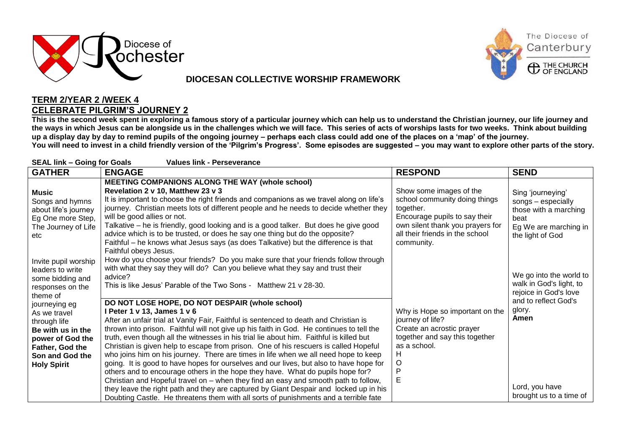

## **DIOCESAN COLLECTIVE WORSHIP FRAMEWORK**



## **TERM 2/YEAR 2 /WEEK 4 CELEBRATE PILGRIM'S JOURNEY 2**

**This is the second week spent in exploring a famous story of a particular journey which can help us to understand the Christian journey, our life journey and the ways in which Jesus can be alongside us in the challenges which we will face. This series of acts of worships lasts for two weeks. Think about building up a display day by day to remind pupils of the ongoing journey – perhaps each class could add one of the places on a 'map' of the journey.**

**You will need to invest in a child friendly version of the 'Pilgrim's Progress'. Some episodes are suggested – you may want to explore other parts of the story.**

| <b>SEAL link - Going for Goals</b><br><b>Values link - Perseverance</b>                                                                            |                                                                                                                                                                                                                                                                                                                                                                                                                                                                                                                                                                                                                                                                                                                                                                                                                  |                                                                                                                                                                                             |                                                                                                                       |  |  |
|----------------------------------------------------------------------------------------------------------------------------------------------------|------------------------------------------------------------------------------------------------------------------------------------------------------------------------------------------------------------------------------------------------------------------------------------------------------------------------------------------------------------------------------------------------------------------------------------------------------------------------------------------------------------------------------------------------------------------------------------------------------------------------------------------------------------------------------------------------------------------------------------------------------------------------------------------------------------------|---------------------------------------------------------------------------------------------------------------------------------------------------------------------------------------------|-----------------------------------------------------------------------------------------------------------------------|--|--|
| <b>GATHER</b>                                                                                                                                      | <b>ENGAGE</b>                                                                                                                                                                                                                                                                                                                                                                                                                                                                                                                                                                                                                                                                                                                                                                                                    | <b>RESPOND</b>                                                                                                                                                                              | <b>SEND</b>                                                                                                           |  |  |
| <b>Music</b><br>Songs and hymns<br>about life's journey<br>Eg One more Step,<br>The Journey of Life<br>etc                                         | <b>MEETING COMPANIONS ALONG THE WAY (whole school)</b><br>Revelation 2 v 10, Matthew 23 v 3<br>It is important to choose the right friends and companions as we travel along on life's<br>journey. Christian meets lots of different people and he needs to decide whether they<br>will be good allies or not.<br>Talkative - he is friendly, good looking and is a good talker. But does he give good<br>advice which is to be trusted, or does he say one thing but do the opposite?<br>Faithful - he knows what Jesus says (as does Talkative) but the difference is that<br>Faithful obeys Jesus.                                                                                                                                                                                                            | Show some images of the<br>school community doing things<br>together.<br>Encourage pupils to say their<br>own silent thank you prayers for<br>all their friends in the school<br>community. | Sing 'journeying'<br>songs - especially<br>those with a marching<br>beat<br>Eg We are marching in<br>the light of God |  |  |
| Invite pupil worship<br>leaders to write<br>some bidding and<br>responses on the<br>theme of                                                       | How do you choose your friends? Do you make sure that your friends follow through<br>with what they say they will do? Can you believe what they say and trust their<br>advice?<br>This is like Jesus' Parable of the Two Sons - Matthew 21 v 28-30.                                                                                                                                                                                                                                                                                                                                                                                                                                                                                                                                                              |                                                                                                                                                                                             | We go into the world to<br>walk in God's light, to<br>rejoice in God's love<br>and to reflect God's                   |  |  |
| journeying eg<br>As we travel<br>through life<br>Be with us in the<br>power of God the<br>Father, God the<br>Son and God the<br><b>Holy Spirit</b> | DO NOT LOSE HOPE, DO NOT DESPAIR (whole school)<br>I Peter 1 v 13, James 1 v 6<br>After an unfair trial at Vanity Fair, Faithful is sentenced to death and Christian is<br>thrown into prison. Faithful will not give up his faith in God. He continues to tell the<br>truth, even though all the witnesses in his trial lie about him. Faithful is killed but<br>Christian is given help to escape from prison. One of his rescuers is called Hopeful<br>who joins him on his journey. There are times in life when we all need hope to keep<br>going. It is good to have hopes for ourselves and our lives, but also to have hope for<br>others and to encourage others in the hope they have. What do pupils hope for?<br>Christian and Hopeful travel on – when they find an easy and smooth path to follow, | Why is Hope so important on the<br>journey of life?<br>Create an acrostic prayer<br>together and say this together<br>as a school.<br>Н<br>O<br>P<br>E                                      | glory.<br>Amen                                                                                                        |  |  |
|                                                                                                                                                    | they leave the right path and they are captured by Giant Despair and locked up in his<br>Doubting Castle. He threatens them with all sorts of punishments and a terrible fate                                                                                                                                                                                                                                                                                                                                                                                                                                                                                                                                                                                                                                    |                                                                                                                                                                                             | Lord, you have<br>brought us to a time of                                                                             |  |  |